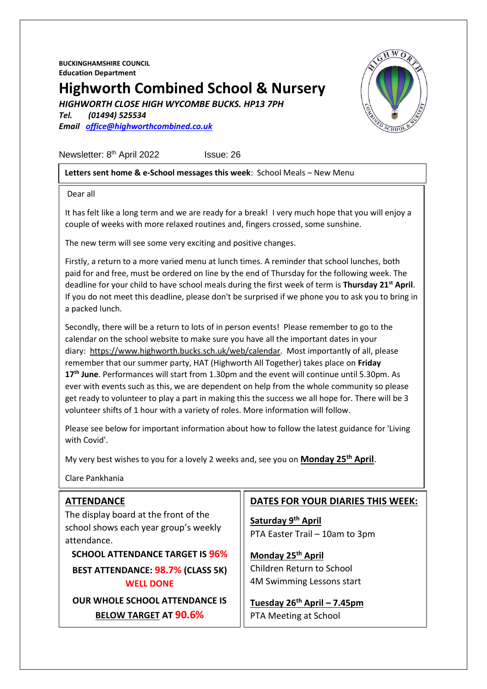**BUCKINGHAMSHIRE COUNCIL Education Department**

# **Highworth Combined School & Nursery**

*HIGHWORTH CLOSE HIGH WYCOMBE BUCKS. HP13 7PH*

*Tel. (01494) 525534 Email [office@highworthcombined.co.uk](mailto:office@highworthcombined.co.uk)*



#### **Letters sent home & e-School messages this week**: School Meals – New Menu

Dear all

It has felt like a long term and we are ready for a break! I very much hope that you will enjoy a couple of weeks with more relaxed routines and, fingers crossed, some sunshine.

The new term will see some very exciting and positive changes.

Firstly, a return to a more varied menu at lunch times. A reminder that school lunches, both paid for and free, must be ordered on line by the end of Thursday for the following week. The deadline for your child to have school meals during the first week of term is **Thursday 21st April**. If you do not meet this deadline, please don't be surprised if we phone you to ask you to bring in a packed lunch.

Secondly, there will be a return to lots of in person events! Please remember to go to the calendar on the school website to make sure you have all the important dates in your diary: [https://www.highworth.bucks.sch.uk/web/calendar.](https://www.highworth.bucks.sch.uk/web/calendar) Most importantly of all, please remember that our summer party, HAT (Highworth All Together) takes place on **Friday 17th June**. Performances will start from 1.30pm and the event will continue until 5.30pm. As ever with events such as this, we are dependent on help from the whole community so please get ready to volunteer to play a part in making this the success we all hope for. There will be 3 volunteer shifts of 1 hour with a variety of roles. More information will follow.

Please see below for important information about how to follow the latest guidance for 'Living with Covid'.

My very best wishes to you for a lovely 2 weeks and, see you on **Monday 25th April**.

Clare Pankhania

| <b>ATTENDANCE</b>                                                                             | <b>DATES FOR YOUR DIARIES THIS WEEK:</b>                         |
|-----------------------------------------------------------------------------------------------|------------------------------------------------------------------|
| The display board at the front of the<br>school shows each year group's weekly<br>attendance. | Saturday 9th April<br>PTA Easter Trail - 10am to 3pm             |
| <b>SCHOOL ATTENDANCE TARGET IS 96%</b>                                                        | Monday 25 <sup>th</sup> April                                    |
| <b>BEST ATTENDANCE: 98.7% (CLASS 5K)</b><br><b>WELL DONE</b>                                  | Children Return to School<br>4M Swimming Lessons start           |
| <b>OUR WHOLE SCHOOL ATTENDANCE IS</b><br><b>BELOW TARGET AT 90.6%</b>                         | Tuesday 26 <sup>th</sup> April - 7.45pm<br>PTA Meeting at School |

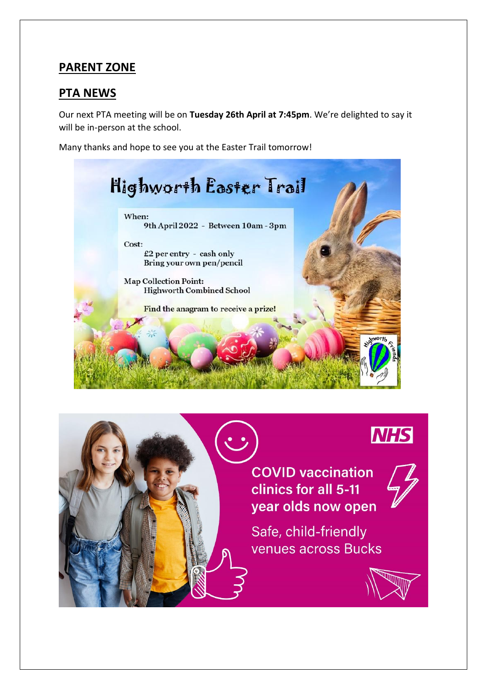## **PARENT ZONE**

### **PTA NEWS**

Our next PTA meeting will be on **Tuesday 26th April at 7:45pm**. We're delighted to say it will be in-person at the school.

Many thanks and hope to see you at the Easter Trail tomorrow!



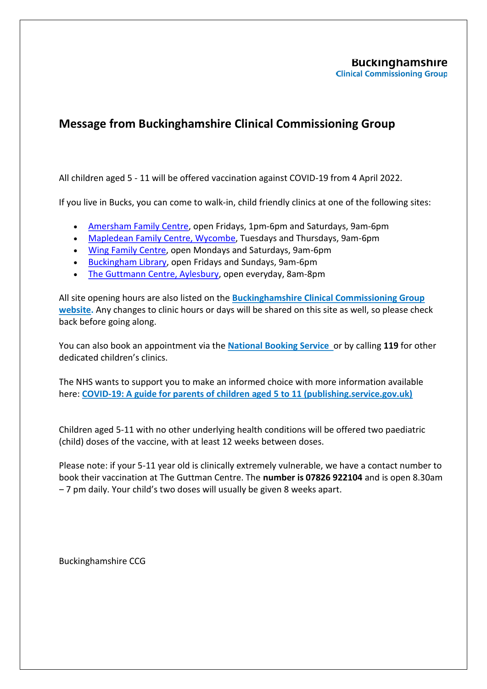#### **Buckinghamshire Clinical Commissioning Group**

# **Message from Buckinghamshire Clinical Commissioning Group**

All children aged 5 - 11 will be offered vaccination against COVID-19 from 4 April 2022.

If you live in Bucks, you can come to walk-in, child friendly clinics at one of the following sites:

- Amersham Family Centre, open Fridays, 1pm-6pm and Saturdays, 9am-6pm
- Mapledean Family Centre, Wycombe, Tuesdays and Thursdays, 9am-6pm
- Wing Family Centre, open Mondays and Saturdays, 9am-6pm
- Buckingham Library, open Fridays and Sundays, 9am-6pm
- The Guttmann Centre, Aylesbury, open everyday, 8am-8pm

All site opening hours are also listed on the **Buckinghamshire Clinical Commissioning Group website.** Any changes to clinic hours or days will be shared on this site as well, so please check back before going along.

You can also book an appointment via the **National Booking Service** or by calling **119** for other dedicated children's clinics.

The NHS wants to support you to make an informed choice with more information available here: **COVID-19: A guide for parents of children aged 5 to 11 (publishing.service.gov.uk)**

Children aged 5-11 with no other underlying health conditions will be offered two paediatric (child) doses of the vaccine, with at least 12 weeks between doses.

Please note: if your 5-11 year old is clinically extremely vulnerable, we have a contact number to book their vaccination at The Guttman Centre. The **number is 07826 922104** and is open 8.30am – 7 pm daily. Your child's two doses will usually be given 8 weeks apart.

Buckinghamshire CCG